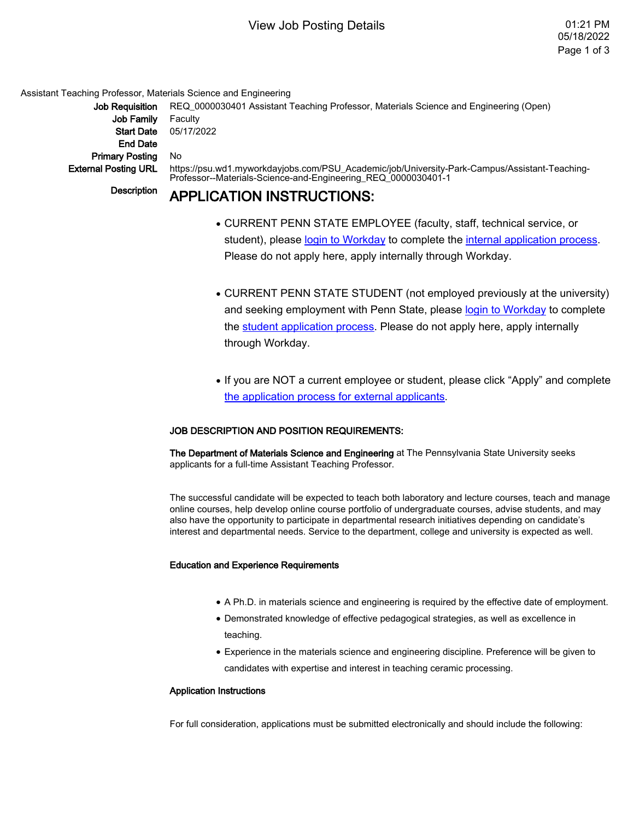# View Job Posting Details 01:21 PM

Assistant Teaching Professor, Materials Science and Engineering

Job Family Faculty End Date Primary Posting No

Job Requisition REQ 0000030401 Assistant Teaching Professor, Materials Science and Engineering (Open) Start Date 05/17/2022 External Posting URL https://psu.wd1.myworkdayjobs.com/PSU\_Academic/job/University-Park-Campus/Assistant-Teaching-Professor--Materials-Science-and-Engineering\_REQ\_0000030401-1

# Description **APPLICATION INSTRUCTIONS:**

- CURRENT PENN STATE EMPLOYEE (faculty, staff, technical service, or student), please login to Workday to complete the internal application process. Please do not apply here, apply internally through Workday.
- CURRENT PENN STATE STUDENT (not employed previously at the university) and seeking employment with Penn State, please login to Workday to complete the student application process. Please do not apply here, apply internally through Workday.
- If you are NOT a current employee or student, please click "Apply" and complete [the application process for external applicants.](https://hr.psu.edu/sites/hr/files/Application_Process_for_External_Applications_Non-Penn_State_Employees_.pdf)

## JOB DESCRIPTION AND POSITION REQUIREMENTS:

The Department of Materials Science and Engineering at The Pennsylvania State University seeks applicants for a full-time Assistant Teaching Professor.

The successful candidate will be expected to teach both laboratory and lecture courses, teach and manage online courses, help develop online course portfolio of undergraduate courses, advise students, and may also have the opportunity to participate in departmental research initiatives depending on candidate's interest and departmental needs. Service to the department, college and university is expected as well.

### Education and Experience Requirements

- A Ph.D. in materials science and engineering is required by the effective date of employment.
- Demonstrated knowledge of effective pedagogical strategies, as well as excellence in teaching.
- Experience in the materials science and engineering discipline. Preference will be given to candidates with expertise and interest in teaching ceramic processing.

### Application Instructions

For full consideration, applications must be submitted electronically and should include the following: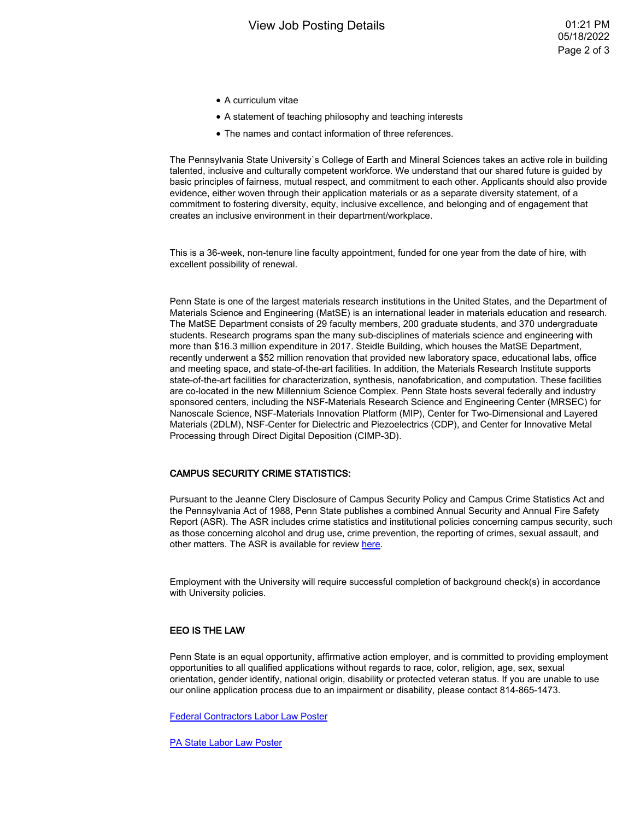- A curriculum vitae
- A statement of teaching philosophy and teaching interests
- The names and contact information of three references.

The Pennsylvania State University`s College of Earth and Mineral Sciences takes an active role in building talented, inclusive and culturally competent workforce. We understand that our shared future is guided by basic principles of fairness, mutual respect, and commitment to each other. Applicants should also provide evidence, either woven through their application materials or as a separate diversity statement, of a commitment to fostering diversity, equity, inclusive excellence, and belonging and of engagement that creates an inclusive environment in their department/workplace.

This is a 36-week, non-tenure line faculty appointment, funded for one year from the date of hire, with excellent possibility of renewal.

Penn State is one of the largest materials research institutions in the United States, and the Department of Materials Science and Engineering (MatSE) is an international leader in materials education and research. The MatSE Department consists of 29 faculty members, 200 graduate students, and 370 undergraduate students. Research programs span the many sub-disciplines of materials science and engineering with more than \$16.3 million expenditure in 2017. Steidle Building, which houses the MatSE Department, recently underwent a \$52 million renovation that provided new laboratory space, educational labs, office and meeting space, and state-of-the-art facilities. In addition, the Materials Research Institute supports state-of-the-art facilities for characterization, synthesis, nanofabrication, and computation. These facilities are co-located in the new Millennium Science Complex. Penn State hosts several federally and industry sponsored centers, including the NSF-Materials Research Science and Engineering Center (MRSEC) for Nanoscale Science, NSF-Materials Innovation Platform (MIP), Center for Two-Dimensional and Layered Materials (2DLM), NSF-Center for Dielectric and Piezoelectrics (CDP), and Center for Innovative Metal Processing through Direct Digital Deposition (CIMP-3D).

#### CAMPUS SECURITY CRIME STATISTICS:

Pursuant to the Jeanne Clery Disclosure of Campus Security Policy and Campus Crime Statistics Act and the Pennsylvania Act of 1988, Penn State publishes a combined Annual Security and Annual Fire Safety Report (ASR). The ASR includes crime statistics and institutional policies concerning campus security, such as those concerning alcohol and drug use, crime prevention, the reporting of crimes, sexual assault, and other matters. The ASR is available for review [here](https://police.psu.edu/annual-security-reports).

Employment with the University will require successful completion of background check(s) in accordance with University policies.

#### EEO IS THE LAW

Penn State is an equal opportunity, affirmative action employer, and is committed to providing employment opportunities to all qualified applications without regards to race, color, religion, age, sex, sexual orientation, gender identify, national origin, disability or protected veteran status. If you are unable to use our online application process due to an impairment or disability, please contact 814-865-1473.

[Federal Contractors Labor Law Poster](https://affirmativeaction.psu.edu/files/2022/01/Federal-Contractors-Labor-Law-Poster.pdf)

[PA State Labor Law Poster](https://affirmativeaction.psu.edu/files/2022/01/PA-State-Labor-Law-Poster.pdf)